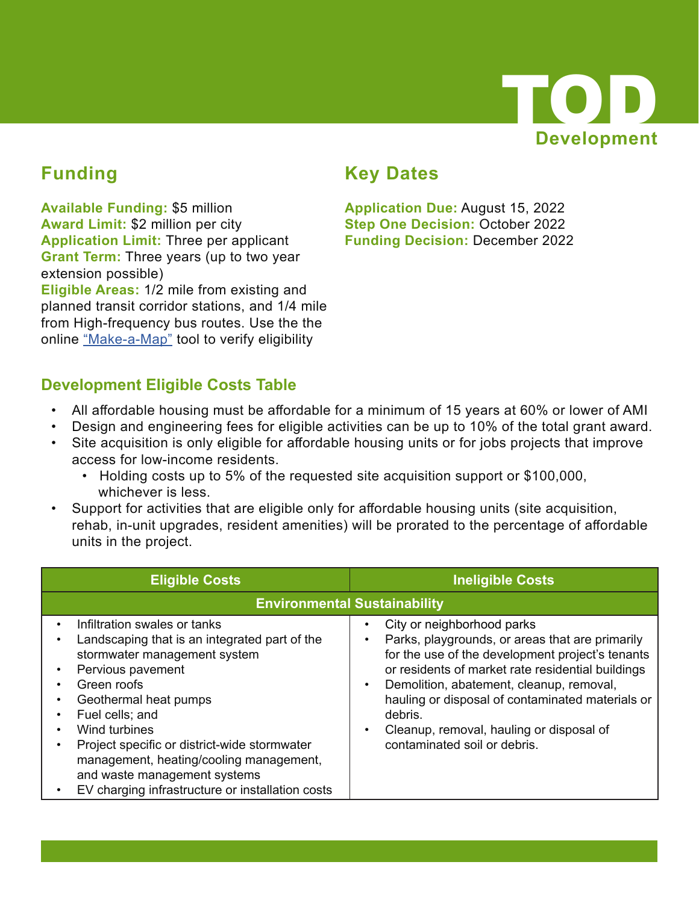

## **Funding**

**Available Funding:** \$5 million **Award Limit:** \$2 million per city **Application Limit:** Three per applicant **Grant Term:** Three years (up to two year extension possible) **Eligible Areas:** 1/2 mile from existing and planned transit corridor stations, and 1/4 mile from High-frequency bus routes. Use the the online "Make-a-Map" tool to verify eligibility

#### **Key Dates**

**Application Due:** August 15, 2022 **Step One Decision:** October 2022 **Funding Decision:** December 2022

#### **Development Eligible Costs Table**

- All affordable housing must be affordable for a minimum of 15 years at 60% or lower of AMI
- Design and engineering fees for eligible activities can be up to 10% of the total grant award.
- Site acquisition is only eligible for affordable housing units or for jobs projects that improve access for low-income residents.
	- Holding costs up to 5% of the requested site acquisition support or \$100,000, whichever is less.
- Support for activities that are eligible only for affordable housing units (site acquisition, rehab, in-unit upgrades, resident amenities) will be prorated to the percentage of affordable units in the project.

| <b>Eligible Costs</b>                                                                                                                                                                                                                                                                                                                                                                         | <b>Ineligible Costs</b>                                                                                                                                                                                                                                                                                                                                                                                 |  |  |
|-----------------------------------------------------------------------------------------------------------------------------------------------------------------------------------------------------------------------------------------------------------------------------------------------------------------------------------------------------------------------------------------------|---------------------------------------------------------------------------------------------------------------------------------------------------------------------------------------------------------------------------------------------------------------------------------------------------------------------------------------------------------------------------------------------------------|--|--|
|                                                                                                                                                                                                                                                                                                                                                                                               | <b>Environmental Sustainability</b>                                                                                                                                                                                                                                                                                                                                                                     |  |  |
| Infiltration swales or tanks<br>Landscaping that is an integrated part of the<br>stormwater management system<br>Pervious pavement<br>Green roofs<br>Geothermal heat pumps<br>Fuel cells; and<br>Wind turbines<br>Project specific or district-wide stormwater<br>management, heating/cooling management,<br>and waste management systems<br>EV charging infrastructure or installation costs | City or neighborhood parks<br>Parks, playgrounds, or areas that are primarily<br>$\bullet$<br>for the use of the development project's tenants<br>or residents of market rate residential buildings<br>Demolition, abatement, cleanup, removal,<br>$\bullet$<br>hauling or disposal of contaminated materials or<br>debris.<br>Cleanup, removal, hauling or disposal of<br>contaminated soil or debris. |  |  |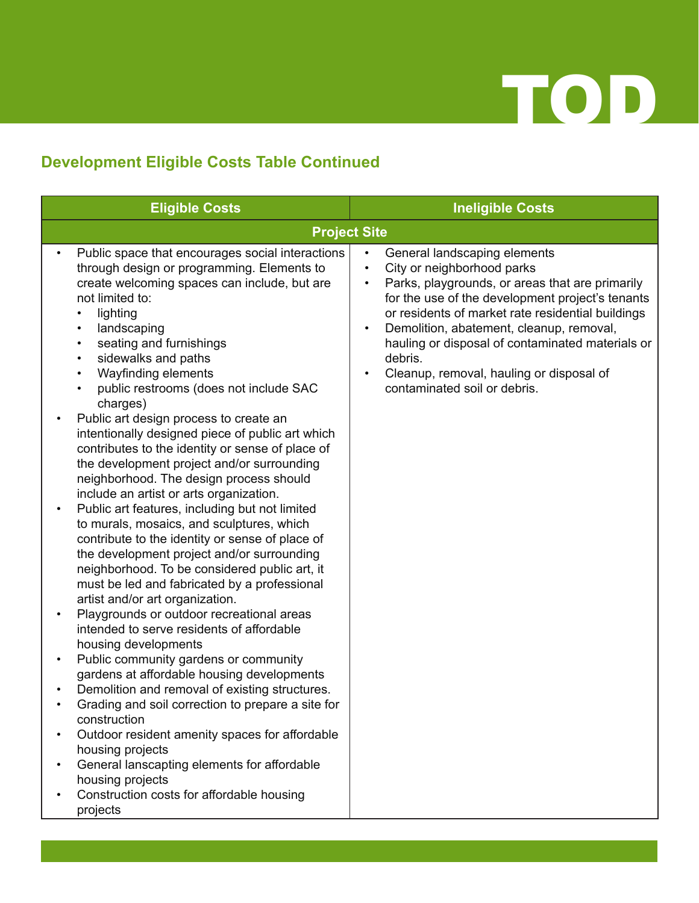

# **Development Eligible Costs Table Continued**

| <b>Eligible Costs</b>                                                                                                                                                                                                                                                                                                                                                                                                                                                                                                                                                                                                                                                                                                                                                                                                                                                                                                                                                                                                                                                                                                                                                                                                                                                                                                                                                                                                                                                                                                                                                                                                          | <b>Ineligible Costs</b>                                                                                                                                                                                                                                                                                                                                                                                       |
|--------------------------------------------------------------------------------------------------------------------------------------------------------------------------------------------------------------------------------------------------------------------------------------------------------------------------------------------------------------------------------------------------------------------------------------------------------------------------------------------------------------------------------------------------------------------------------------------------------------------------------------------------------------------------------------------------------------------------------------------------------------------------------------------------------------------------------------------------------------------------------------------------------------------------------------------------------------------------------------------------------------------------------------------------------------------------------------------------------------------------------------------------------------------------------------------------------------------------------------------------------------------------------------------------------------------------------------------------------------------------------------------------------------------------------------------------------------------------------------------------------------------------------------------------------------------------------------------------------------------------------|---------------------------------------------------------------------------------------------------------------------------------------------------------------------------------------------------------------------------------------------------------------------------------------------------------------------------------------------------------------------------------------------------------------|
|                                                                                                                                                                                                                                                                                                                                                                                                                                                                                                                                                                                                                                                                                                                                                                                                                                                                                                                                                                                                                                                                                                                                                                                                                                                                                                                                                                                                                                                                                                                                                                                                                                | <b>Project Site</b>                                                                                                                                                                                                                                                                                                                                                                                           |
| Public space that encourages social interactions<br>through design or programming. Elements to<br>create welcoming spaces can include, but are<br>not limited to:<br>lighting<br>$\bullet$<br>landscaping<br>$\bullet$<br>seating and furnishings<br>$\bullet$<br>sidewalks and paths<br>$\bullet$<br>Wayfinding elements<br>$\bullet$<br>public restrooms (does not include SAC<br>charges)<br>Public art design process to create an<br>$\bullet$<br>intentionally designed piece of public art which<br>contributes to the identity or sense of place of<br>the development project and/or surrounding<br>neighborhood. The design process should<br>include an artist or arts organization.<br>Public art features, including but not limited<br>$\bullet$<br>to murals, mosaics, and sculptures, which<br>contribute to the identity or sense of place of<br>the development project and/or surrounding<br>neighborhood. To be considered public art, it<br>must be led and fabricated by a professional<br>artist and/or art organization.<br>Playgrounds or outdoor recreational areas<br>$\bullet$<br>intended to serve residents of affordable<br>housing developments<br>Public community gardens or community<br>$\bullet$<br>gardens at affordable housing developments<br>Demolition and removal of existing structures.<br>Grading and soil correction to prepare a site for<br>construction<br>Outdoor resident amenity spaces for affordable<br>$\bullet$<br>housing projects<br>General lanscapting elements for affordable<br>٠<br>housing projects<br>Construction costs for affordable housing<br>projects | General landscaping elements<br>City or neighborhood parks<br>Parks, playgrounds, or areas that are primarily<br>for the use of the development project's tenants<br>or residents of market rate residential buildings<br>Demolition, abatement, cleanup, removal,<br>hauling or disposal of contaminated materials or<br>debris.<br>Cleanup, removal, hauling or disposal of<br>contaminated soil or debris. |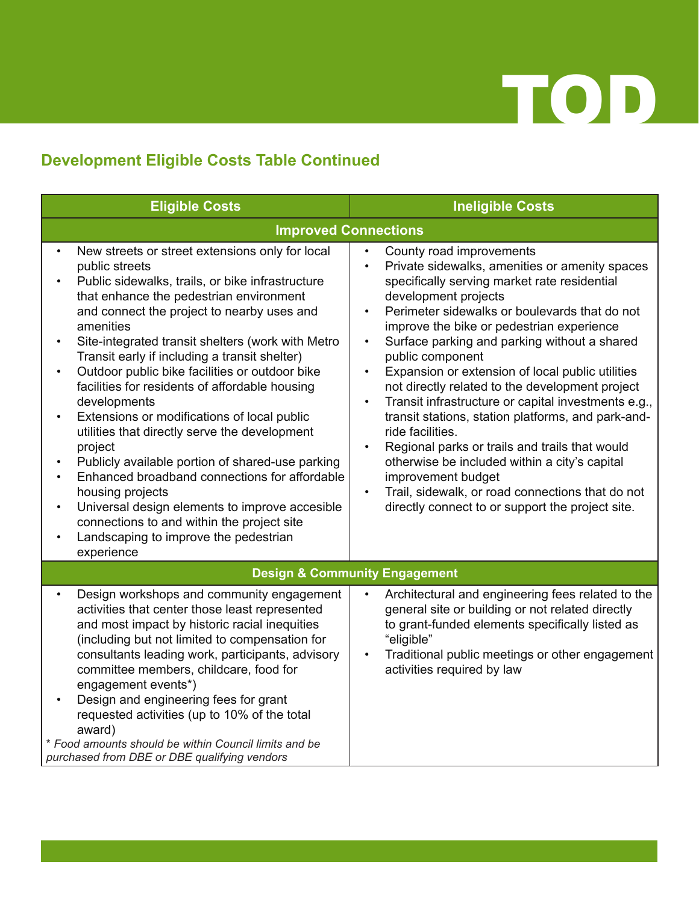

#### **Development Eligible Costs Table Continued**

| <b>Eligible Costs</b>                                                                                                                                                                                                                                                                                                                                                                                                                                                                                                                                                                                                                                                                                                                                                                                                                                                                   | <b>Ineligible Costs</b>                                                                                                                                                                                                                                                                                                                                                                                                                                                                                                                                                                                                                                                                                                                                                                                                                                        |
|-----------------------------------------------------------------------------------------------------------------------------------------------------------------------------------------------------------------------------------------------------------------------------------------------------------------------------------------------------------------------------------------------------------------------------------------------------------------------------------------------------------------------------------------------------------------------------------------------------------------------------------------------------------------------------------------------------------------------------------------------------------------------------------------------------------------------------------------------------------------------------------------|----------------------------------------------------------------------------------------------------------------------------------------------------------------------------------------------------------------------------------------------------------------------------------------------------------------------------------------------------------------------------------------------------------------------------------------------------------------------------------------------------------------------------------------------------------------------------------------------------------------------------------------------------------------------------------------------------------------------------------------------------------------------------------------------------------------------------------------------------------------|
| <b>Improved Connections</b>                                                                                                                                                                                                                                                                                                                                                                                                                                                                                                                                                                                                                                                                                                                                                                                                                                                             |                                                                                                                                                                                                                                                                                                                                                                                                                                                                                                                                                                                                                                                                                                                                                                                                                                                                |
| New streets or street extensions only for local<br>$\bullet$<br>public streets<br>Public sidewalks, trails, or bike infrastructure<br>that enhance the pedestrian environment<br>and connect the project to nearby uses and<br>amenities<br>Site-integrated transit shelters (work with Metro<br>$\bullet$<br>Transit early if including a transit shelter)<br>Outdoor public bike facilities or outdoor bike<br>$\bullet$<br>facilities for residents of affordable housing<br>developments<br>Extensions or modifications of local public<br>utilities that directly serve the development<br>project<br>Publicly available portion of shared-use parking<br>Enhanced broadband connections for affordable<br>housing projects<br>Universal design elements to improve accesible<br>connections to and within the project site<br>Landscaping to improve the pedestrian<br>experience | County road improvements<br>$\bullet$<br>Private sidewalks, amenities or amenity spaces<br>$\bullet$<br>specifically serving market rate residential<br>development projects<br>Perimeter sidewalks or boulevards that do not<br>$\bullet$<br>improve the bike or pedestrian experience<br>Surface parking and parking without a shared<br>$\bullet$<br>public component<br>Expansion or extension of local public utilities<br>$\bullet$<br>not directly related to the development project<br>Transit infrastructure or capital investments e.g.,<br>transit stations, station platforms, and park-and-<br>ride facilities.<br>Regional parks or trails and trails that would<br>otherwise be included within a city's capital<br>improvement budget<br>Trail, sidewalk, or road connections that do not<br>directly connect to or support the project site. |
|                                                                                                                                                                                                                                                                                                                                                                                                                                                                                                                                                                                                                                                                                                                                                                                                                                                                                         | <b>Design &amp; Community Engagement</b>                                                                                                                                                                                                                                                                                                                                                                                                                                                                                                                                                                                                                                                                                                                                                                                                                       |
| Design workshops and community engagement<br>activities that center those least represented<br>and most impact by historic racial inequities<br>(including but not limited to compensation for<br>consultants leading work, participants, advisory<br>committee members, childcare, food for<br>engagement events*)<br>Design and engineering fees for grant<br>requested activities (up to 10% of the total<br>award)<br>* Food amounts should be within Council limits and be<br>purchased from DBE or DBE qualifying vendors                                                                                                                                                                                                                                                                                                                                                         | Architectural and engineering fees related to the<br>general site or building or not related directly<br>to grant-funded elements specifically listed as<br>"eligible"<br>Traditional public meetings or other engagement<br>activities required by law                                                                                                                                                                                                                                                                                                                                                                                                                                                                                                                                                                                                        |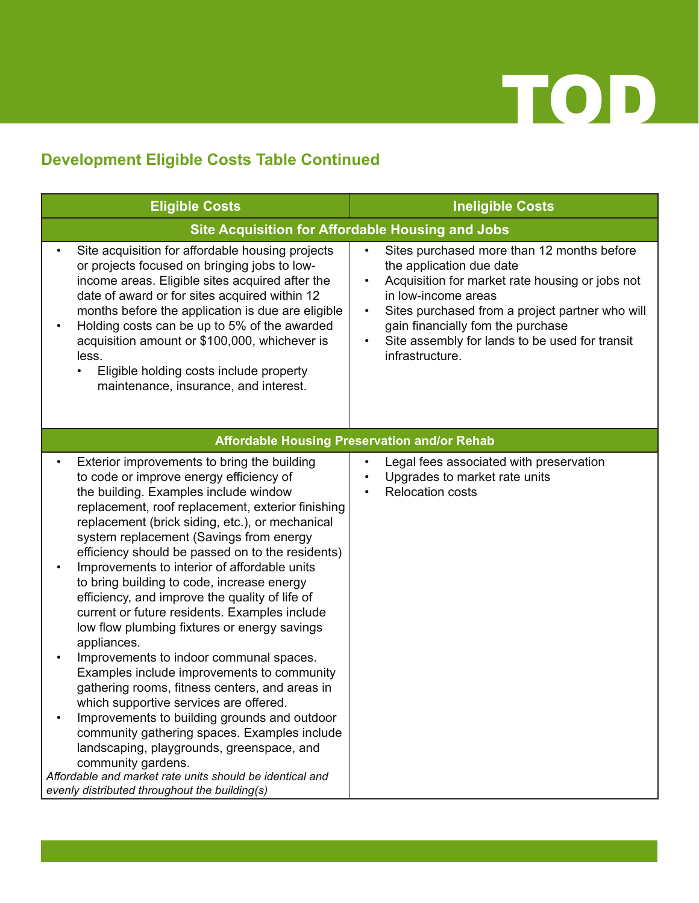

#### **Development Eligible Costs Table Continued**

| <b>Eligible Costs</b>                                                                                                                                                                                                                                                                                                                                                                                                                                                                                                                                                                                                                                                                                                                                                                                                                                                                                                                                                                                                                                                       | <b>Ineligible Costs</b>                                                                                                                                                                                                                                                                                                                 |  |  |  |
|-----------------------------------------------------------------------------------------------------------------------------------------------------------------------------------------------------------------------------------------------------------------------------------------------------------------------------------------------------------------------------------------------------------------------------------------------------------------------------------------------------------------------------------------------------------------------------------------------------------------------------------------------------------------------------------------------------------------------------------------------------------------------------------------------------------------------------------------------------------------------------------------------------------------------------------------------------------------------------------------------------------------------------------------------------------------------------|-----------------------------------------------------------------------------------------------------------------------------------------------------------------------------------------------------------------------------------------------------------------------------------------------------------------------------------------|--|--|--|
|                                                                                                                                                                                                                                                                                                                                                                                                                                                                                                                                                                                                                                                                                                                                                                                                                                                                                                                                                                                                                                                                             | <b>Site Acquisition for Affordable Housing and Jobs</b>                                                                                                                                                                                                                                                                                 |  |  |  |
| Site acquisition for affordable housing projects<br>or projects focused on bringing jobs to low-<br>income areas. Eligible sites acquired after the<br>date of award or for sites acquired within 12<br>months before the application is due are eligible<br>Holding costs can be up to 5% of the awarded<br>$\bullet$<br>acquisition amount or \$100,000, whichever is<br>less.<br>Eligible holding costs include property<br>maintenance, insurance, and interest.                                                                                                                                                                                                                                                                                                                                                                                                                                                                                                                                                                                                        | Sites purchased more than 12 months before<br>$\bullet$<br>the application due date<br>Acquisition for market rate housing or jobs not<br>in low-income areas<br>Sites purchased from a project partner who will<br>$\bullet$<br>gain financially fom the purchase<br>Site assembly for lands to be used for transit<br>infrastructure. |  |  |  |
|                                                                                                                                                                                                                                                                                                                                                                                                                                                                                                                                                                                                                                                                                                                                                                                                                                                                                                                                                                                                                                                                             | <b>Affordable Housing Preservation and/or Rehab</b>                                                                                                                                                                                                                                                                                     |  |  |  |
| Exterior improvements to bring the building<br>to code or improve energy efficiency of<br>the building. Examples include window<br>replacement, roof replacement, exterior finishing<br>replacement (brick siding, etc.), or mechanical<br>system replacement (Savings from energy<br>efficiency should be passed on to the residents)<br>Improvements to interior of affordable units<br>to bring building to code, increase energy<br>efficiency, and improve the quality of life of<br>current or future residents. Examples include<br>low flow plumbing fixtures or energy savings<br>appliances.<br>Improvements to indoor communal spaces.<br>Examples include improvements to community<br>gathering rooms, fitness centers, and areas in<br>which supportive services are offered.<br>Improvements to building grounds and outdoor<br>community gathering spaces. Examples include<br>landscaping, playgrounds, greenspace, and<br>community gardens.<br>Affordable and market rate units should be identical and<br>evenly distributed throughout the building(s) | Legal fees associated with preservation<br>Upgrades to market rate units<br><b>Relocation costs</b>                                                                                                                                                                                                                                     |  |  |  |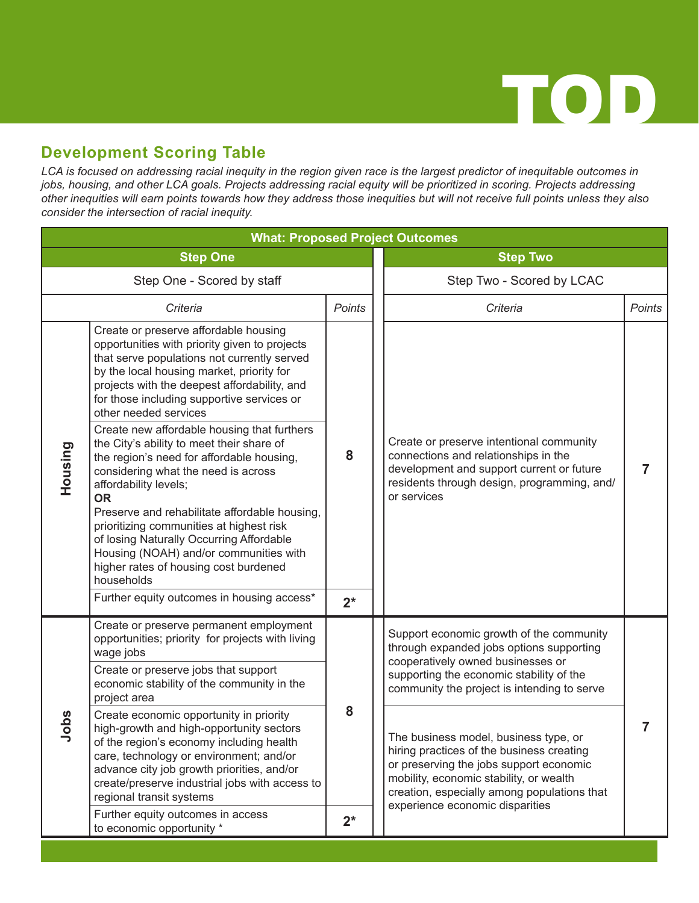

#### **Development Scoring Table**

*LCA is focused on addressing racial inequity in the region given race is the largest predictor of inequitable outcomes in jobs, housing, and other LCA goals. Projects addressing racial equity will be prioritized in scoring. Projects addressing other inequities will earn points towards how they address those inequities but will not receive full points unless they also consider the intersection of racial inequity.*

| <b>What: Proposed Project Outcomes</b> |                                                                                                                                                                                                                                                                                                                                                                                                                                                              |               |                                                                                                                                                                                             |                                                                                                                                                                                                                         |               |  |
|----------------------------------------|--------------------------------------------------------------------------------------------------------------------------------------------------------------------------------------------------------------------------------------------------------------------------------------------------------------------------------------------------------------------------------------------------------------------------------------------------------------|---------------|---------------------------------------------------------------------------------------------------------------------------------------------------------------------------------------------|-------------------------------------------------------------------------------------------------------------------------------------------------------------------------------------------------------------------------|---------------|--|
| <b>Step One</b>                        |                                                                                                                                                                                                                                                                                                                                                                                                                                                              |               | <b>Step Two</b>                                                                                                                                                                             |                                                                                                                                                                                                                         |               |  |
| Step One - Scored by staff             |                                                                                                                                                                                                                                                                                                                                                                                                                                                              |               | Step Two - Scored by LCAC                                                                                                                                                                   |                                                                                                                                                                                                                         |               |  |
|                                        | Criteria                                                                                                                                                                                                                                                                                                                                                                                                                                                     | <b>Points</b> |                                                                                                                                                                                             | Criteria                                                                                                                                                                                                                | <b>Points</b> |  |
| Housing                                | Create or preserve affordable housing<br>opportunities with priority given to projects<br>that serve populations not currently served<br>by the local housing market, priority for<br>projects with the deepest affordability, and<br>for those including supportive services or<br>other needed services                                                                                                                                                    | 8             | Create or preserve intentional community<br>connections and relationships in the<br>development and support current or future<br>residents through design, programming, and/<br>or services | 7                                                                                                                                                                                                                       |               |  |
|                                        | Create new affordable housing that furthers<br>the City's ability to meet their share of<br>the region's need for affordable housing,<br>considering what the need is across<br>affordability levels;<br><b>OR</b><br>Preserve and rehabilitate affordable housing,<br>prioritizing communities at highest risk<br>of losing Naturally Occurring Affordable<br>Housing (NOAH) and/or communities with<br>higher rates of housing cost burdened<br>households |               |                                                                                                                                                                                             |                                                                                                                                                                                                                         |               |  |
|                                        | Further equity outcomes in housing access*                                                                                                                                                                                                                                                                                                                                                                                                                   | $2^*$         |                                                                                                                                                                                             |                                                                                                                                                                                                                         |               |  |
| Jobs                                   | Create or preserve permanent employment<br>opportunities; priority for projects with living<br>wage jobs                                                                                                                                                                                                                                                                                                                                                     |               |                                                                                                                                                                                             | Support economic growth of the community<br>through expanded jobs options supporting<br>cooperatively owned businesses or<br>supporting the economic stability of the<br>community the project is intending to serve    |               |  |
|                                        | Create or preserve jobs that support<br>economic stability of the community in the<br>project area                                                                                                                                                                                                                                                                                                                                                           |               |                                                                                                                                                                                             |                                                                                                                                                                                                                         |               |  |
|                                        | Create economic opportunity in priority<br>high-growth and high-opportunity sectors<br>of the region's economy including health<br>care, technology or environment; and/or<br>advance city job growth priorities, and/or<br>create/preserve industrial jobs with access to<br>regional transit systems                                                                                                                                                       | 8             |                                                                                                                                                                                             | The business model, business type, or<br>hiring practices of the business creating<br>or preserving the jobs support economic<br>mobility, economic stability, or wealth<br>creation, especially among populations that |               |  |
|                                        | Further equity outcomes in access<br>to economic opportunity *                                                                                                                                                                                                                                                                                                                                                                                               | $2^*$         |                                                                                                                                                                                             | experience economic disparities                                                                                                                                                                                         |               |  |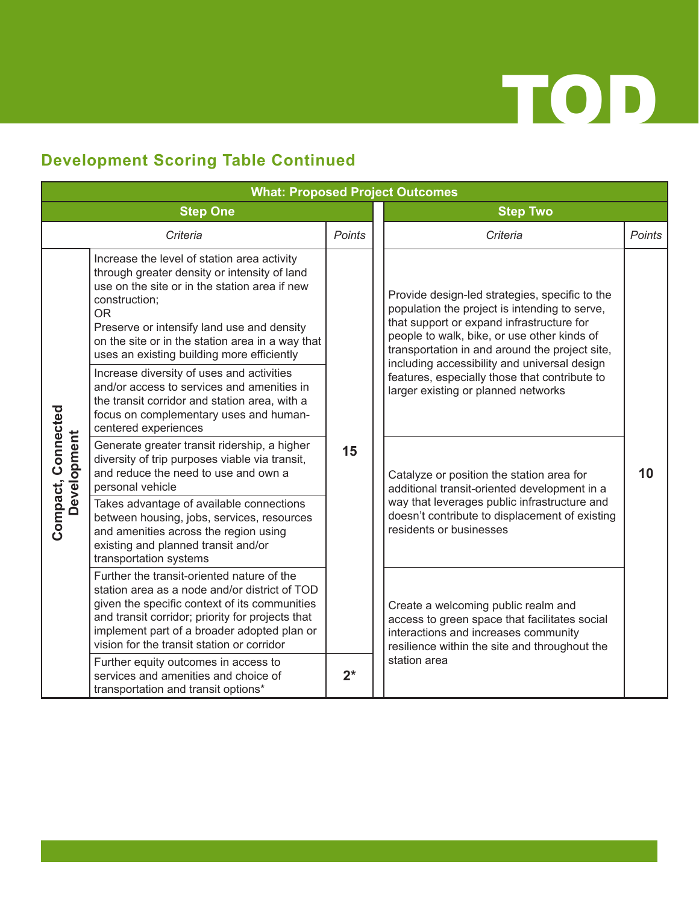

### **Development Scoring Table Continued**

| <b>What: Proposed Project Outcomes</b> |                                                                                                                                                                                                                                                                                                                            |               |  |                                                                                                                                                                                                                                                                                                                                                                                       |        |  |  |
|----------------------------------------|----------------------------------------------------------------------------------------------------------------------------------------------------------------------------------------------------------------------------------------------------------------------------------------------------------------------------|---------------|--|---------------------------------------------------------------------------------------------------------------------------------------------------------------------------------------------------------------------------------------------------------------------------------------------------------------------------------------------------------------------------------------|--------|--|--|
| <b>Step One</b>                        |                                                                                                                                                                                                                                                                                                                            |               |  | <b>Step Two</b>                                                                                                                                                                                                                                                                                                                                                                       |        |  |  |
|                                        | Criteria                                                                                                                                                                                                                                                                                                                   | <b>Points</b> |  | Criteria                                                                                                                                                                                                                                                                                                                                                                              | Points |  |  |
|                                        | Increase the level of station area activity<br>through greater density or intensity of land<br>use on the site or in the station area if new<br>construction;<br><b>OR</b><br>Preserve or intensify land use and density<br>on the site or in the station area in a way that<br>uses an existing building more efficiently | 15<br>$2^*$   |  | Provide design-led strategies, specific to the<br>population the project is intending to serve,<br>that support or expand infrastructure for<br>people to walk, bike, or use other kinds of<br>transportation in and around the project site,<br>including accessibility and universal design<br>features, especially those that contribute to<br>larger existing or planned networks | 10     |  |  |
|                                        | Increase diversity of uses and activities<br>and/or access to services and amenities in<br>the transit corridor and station area, with a<br>focus on complementary uses and human-<br>centered experiences                                                                                                                 |               |  |                                                                                                                                                                                                                                                                                                                                                                                       |        |  |  |
| Compact, Connected<br>Development      | Generate greater transit ridership, a higher<br>diversity of trip purposes viable via transit,<br>and reduce the need to use and own a<br>personal vehicle                                                                                                                                                                 |               |  | Catalyze or position the station area for<br>additional transit-oriented development in a<br>way that leverages public infrastructure and<br>doesn't contribute to displacement of existing<br>residents or businesses                                                                                                                                                                |        |  |  |
|                                        | Takes advantage of available connections<br>between housing, jobs, services, resources<br>and amenities across the region using<br>existing and planned transit and/or<br>transportation systems                                                                                                                           |               |  |                                                                                                                                                                                                                                                                                                                                                                                       |        |  |  |
|                                        | Further the transit-oriented nature of the<br>station area as a node and/or district of TOD<br>given the specific context of its communities<br>and transit corridor; priority for projects that<br>implement part of a broader adopted plan or<br>vision for the transit station or corridor                              |               |  | Create a welcoming public realm and<br>access to green space that facilitates social<br>interactions and increases community<br>resilience within the site and throughout the<br>station area                                                                                                                                                                                         |        |  |  |
|                                        | Further equity outcomes in access to<br>services and amenities and choice of<br>transportation and transit options*                                                                                                                                                                                                        |               |  |                                                                                                                                                                                                                                                                                                                                                                                       |        |  |  |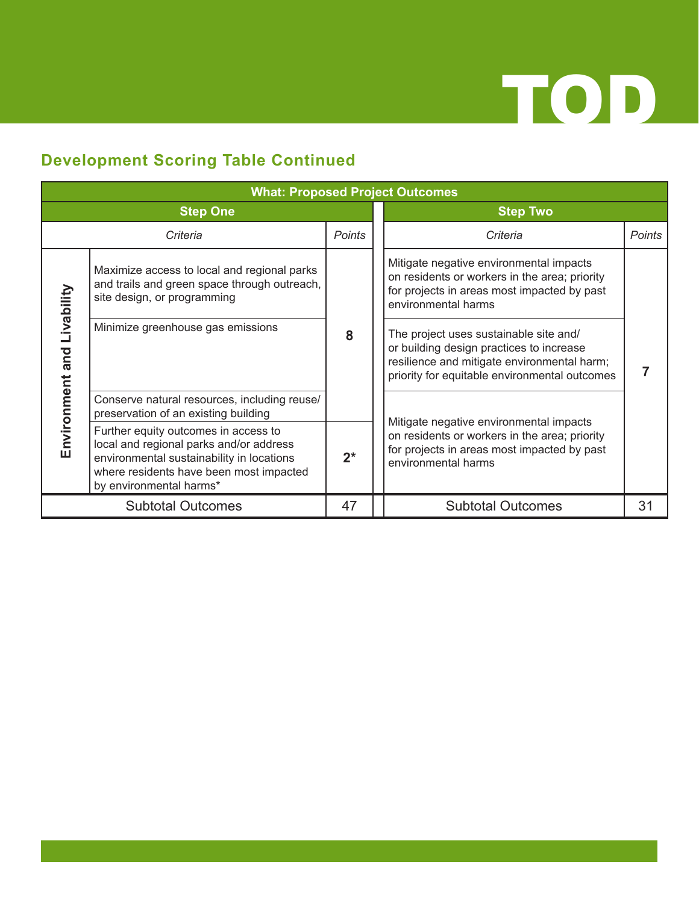

### **Development Scoring Table Continued**

| <b>What: Proposed Project Outcomes</b> |                                                                                                                                                                                                    |               |                                                                                                                                                                                    |                                                                                                                                                                |               |  |
|----------------------------------------|----------------------------------------------------------------------------------------------------------------------------------------------------------------------------------------------------|---------------|------------------------------------------------------------------------------------------------------------------------------------------------------------------------------------|----------------------------------------------------------------------------------------------------------------------------------------------------------------|---------------|--|
| <b>Step One</b>                        |                                                                                                                                                                                                    |               | <b>Step Two</b>                                                                                                                                                                    |                                                                                                                                                                |               |  |
|                                        | Criteria                                                                                                                                                                                           | <b>Points</b> |                                                                                                                                                                                    | Criteria                                                                                                                                                       | <b>Points</b> |  |
| Livability<br>Environment and          | Maximize access to local and regional parks<br>and trails and green space through outreach,<br>site design, or programming                                                                         | 8             | Mitigate negative environmental impacts<br>on residents or workers in the area; priority<br>for projects in areas most impacted by past<br>environmental harms                     |                                                                                                                                                                |               |  |
|                                        | Minimize greenhouse gas emissions                                                                                                                                                                  |               | The project uses sustainable site and/<br>or building design practices to increase<br>resilience and mitigate environmental harm;<br>priority for equitable environmental outcomes |                                                                                                                                                                |               |  |
|                                        | Conserve natural resources, including reuse/<br>preservation of an existing building                                                                                                               |               |                                                                                                                                                                                    | Mitigate negative environmental impacts<br>on residents or workers in the area; priority<br>for projects in areas most impacted by past<br>environmental harms |               |  |
|                                        | Further equity outcomes in access to<br>local and regional parks and/or address<br>environmental sustainability in locations<br>where residents have been most impacted<br>by environmental harms* | $2^*$         |                                                                                                                                                                                    |                                                                                                                                                                |               |  |
| <b>Subtotal Outcomes</b><br>47         |                                                                                                                                                                                                    |               | <b>Subtotal Outcomes</b>                                                                                                                                                           | 31                                                                                                                                                             |               |  |